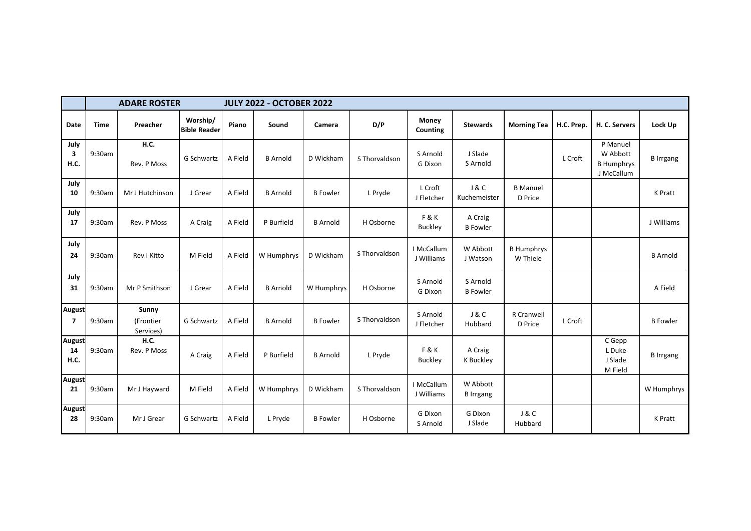|                             | <b>ADARE ROSTER</b><br><b>JULY 2022 - OCTOBER 2022</b> |                                 |                                 |         |                 |                 |               |                          |                              |                               |            |                                                         |                  |
|-----------------------------|--------------------------------------------------------|---------------------------------|---------------------------------|---------|-----------------|-----------------|---------------|--------------------------|------------------------------|-------------------------------|------------|---------------------------------------------------------|------------------|
| Date                        | <b>Time</b>                                            | Preacher                        | Worship/<br><b>Bible Reader</b> | Piano   | Sound           | Camera          | D/P           | Money<br>Counting        | <b>Stewards</b>              | <b>Morning Tea</b>            | H.C. Prep. | H. C. Servers                                           | Lock Up          |
| July<br>3<br><b>H.C.</b>    | 9:30am                                                 | H.C.<br>Rev. P Moss             | G Schwartz                      | A Field | <b>B</b> Arnold | D Wickham       | S Thorvaldson | S Arnold<br>G Dixon      | J Slade<br>S Arnold          |                               | L Croft    | P Manuel<br>W Abbott<br><b>B Humphrys</b><br>J McCallum | <b>B</b> Irrgang |
| July<br>10                  | 9:30am                                                 | Mr J Hutchinson                 | J Grear                         | A Field | <b>B</b> Arnold | <b>B</b> Fowler | L Pryde       | L Croft<br>J Fletcher    | J & C<br>Kuchemeister        | <b>B</b> Manuel<br>D Price    |            |                                                         | <b>K</b> Pratt   |
| July<br>17                  | 9:30am                                                 | Rev. P Moss                     | A Craig                         | A Field | P Burfield      | <b>B</b> Arnold | H Osborne     | F&K<br>Buckley           | A Craig<br><b>B</b> Fowler   |                               |            |                                                         | J Williams       |
| July<br>24                  | 9:30am                                                 | Rev I Kitto                     | M Field                         | A Field | W Humphrys      | D Wickham       | S Thorvaldson | I McCallum<br>J Williams | W Abbott<br>J Watson         | <b>B</b> Humphrys<br>W Thiele |            |                                                         | <b>B</b> Arnold  |
| July<br>31                  | 9:30am                                                 | Mr P Smithson                   | J Grear                         | A Field | <b>B</b> Arnold | W Humphrys      | H Osborne     | S Arnold<br>G Dixon      | S Arnold<br><b>B</b> Fowler  |                               |            |                                                         | A Field          |
| August<br>7                 | 9:30am                                                 | Sunny<br>(Frontier<br>Services) | G Schwartz                      | A Field | <b>B</b> Arnold | <b>B</b> Fowler | S Thorvaldson | S Arnold<br>J Fletcher   | J & C<br>Hubbard             | R Cranwell<br>D Price         | L Croft    |                                                         | <b>B</b> Fowler  |
| <b>August</b><br>14<br>H.C. | 9:30am                                                 | <b>H.C.</b><br>Rev. P Moss      | A Craig                         | A Field | P Burfield      | <b>B</b> Arnold | L Pryde       | F&K<br><b>Buckley</b>    | A Craig<br>K Buckley         |                               |            | C Gepp<br>L Duke<br>J Slade<br>M Field                  | <b>B</b> Irrgang |
| <b>August</b><br>21         | 9:30am                                                 | Mr J Hayward                    | M Field                         | A Field | W Humphrys      | D Wickham       | S Thorvaldson | I McCallum<br>J Williams | W Abbott<br><b>B</b> Irrgang |                               |            |                                                         | W Humphrys       |
| <b>August</b><br>28         | 9:30am                                                 | Mr J Grear                      | G Schwartz                      | A Field | L Pryde         | <b>B</b> Fowler | H Osborne     | G Dixon<br>S Arnold      | G Dixon<br>J Slade           | <b>J&amp;C</b><br>Hubbard     |            |                                                         | K Pratt          |